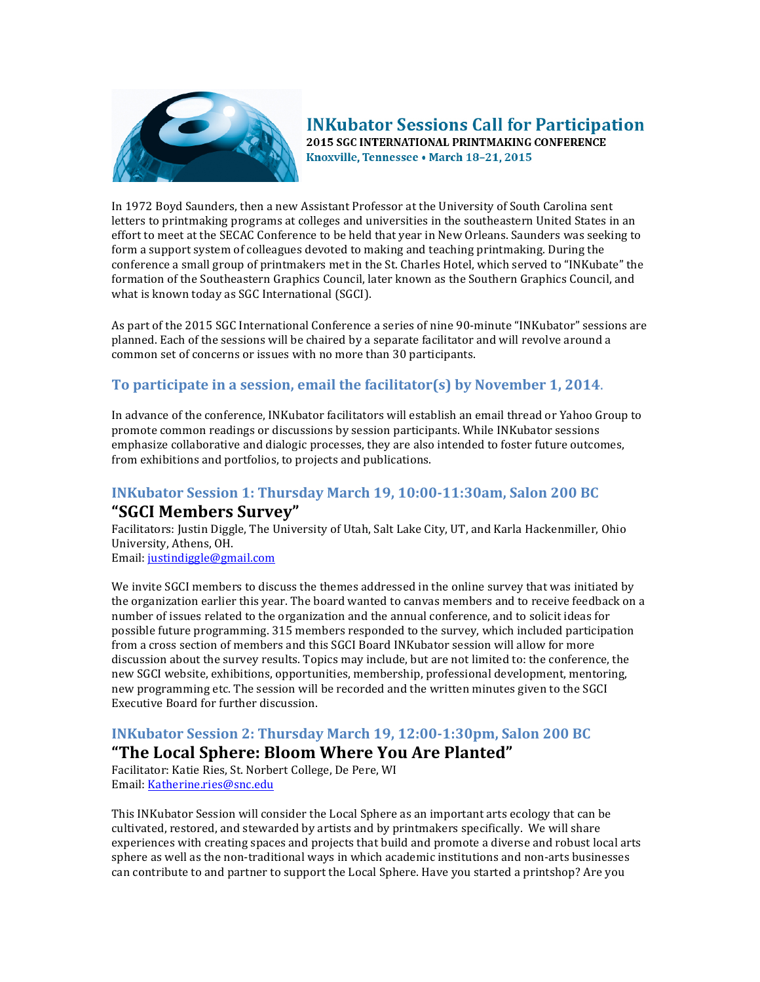

#### **INKubator Sessions Call for Participation** 2015 SGC INTERNATIONAL PRINTMAKING CONFERENCE Knoxville, Tennessee . March 18-21, 2015

In 1972 Boyd Saunders, then a new Assistant Professor at the University of South Carolina sent letters to printmaking programs at colleges and universities in the southeastern United States in an effort to meet at the SECAC Conference to be held that year in New Orleans. Saunders was seeking to form a support system of colleagues devoted to making and teaching printmaking. During the conference a small group of printmakers met in the St. Charles Hotel, which served to "INKubate" the formation of the Southeastern Graphics Council, later known as the Southern Graphics Council, and what is known today as SGC International (SGCI).

As part of the 2015 SGC International Conference a series of nine 90-minute "INKubator" sessions are planned. Each of the sessions will be chaired by a separate facilitator and will revolve around a common set of concerns or issues with no more than 30 participants.

#### **To participate in a session, email the facilitator(s) by November 1, 2014.**

In advance of the conference, INKubator facilitators will establish an email thread or Yahoo Group to promote common readings or discussions by session participants. While INKubator sessions emphasize collaborative and dialogic processes, they are also intended to foster future outcomes, from exhibitions and portfolios, to projects and publications.

#### **INKubator Session 1: Thursday March 19, 10:00-11:30am, Salon 200 BC**

#### **"SGCI Members Survey"**

Facilitators: Justin Diggle, The University of Utah, Salt Lake City, UT, and Karla Hackenmiller, Ohio University, Athens, OH.

Email: justindiggle@gmail.com

We invite SGCI members to discuss the themes addressed in the online survey that was initiated by the organization earlier this year. The board wanted to canvas members and to receive feedback on a number of issues related to the organization and the annual conference, and to solicit ideas for possible future programming. 315 members responded to the survey, which included participation from a cross section of members and this SGCI Board INKubator session will allow for more discussion about the survey results. Topics may include, but are not limited to: the conference, the new SGCI website, exhibitions, opportunities, membership, professional development, mentoring, new programming etc. The session will be recorded and the written minutes given to the SGCI Executive Board for further discussion.

# **INKubator Session 2: Thursday March 19, 12:00-1:30pm, Salon 200 BC**

# **"The Local Sphere: Bloom Where You Are Planted"**

Facilitator: Katie Ries, St. Norbert College, De Pere, WI Email: Katherine.ries@snc.edu

This INKubator Session will consider the Local Sphere as an important arts ecology that can be cultivated, restored, and stewarded by artists and by printmakers specifically. We will share experiences with creating spaces and projects that build and promote a diverse and robust local arts sphere as well as the non-traditional ways in which academic institutions and non-arts businesses can contribute to and partner to support the Local Sphere. Have you started a printshop? Are you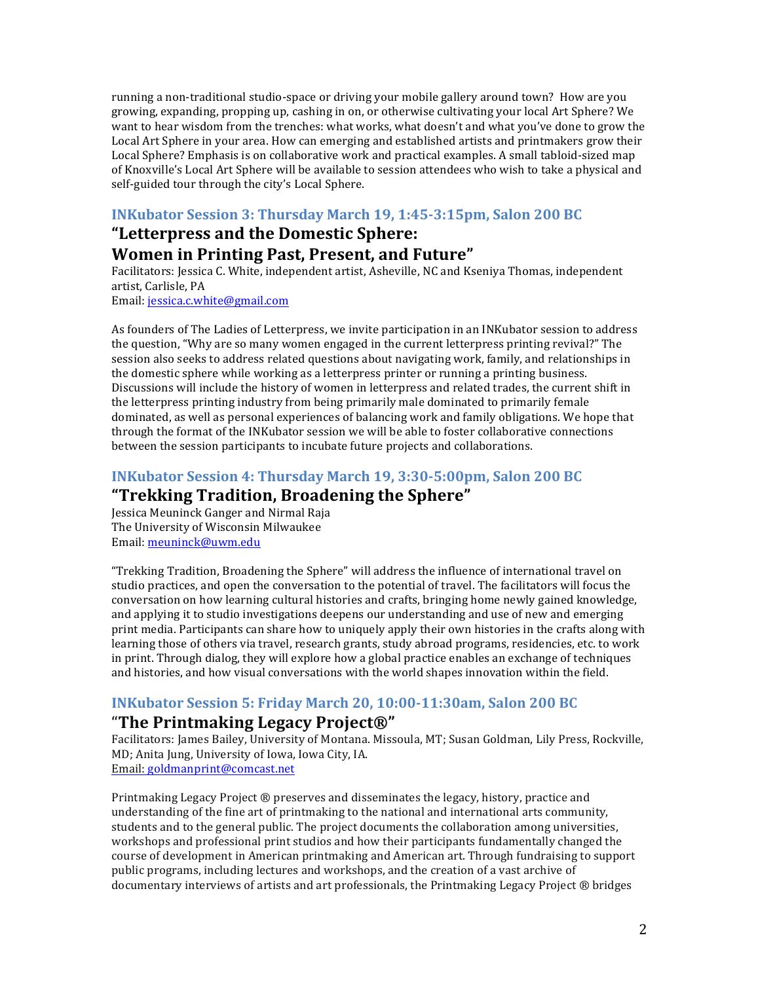running a non-traditional studio-space or driving your mobile gallery around town? How are you growing, expanding, propping up, cashing in on, or otherwise cultivating your local Art Sphere? We want to hear wisdom from the trenches: what works, what doesn't and what you've done to grow the Local Art Sphere in your area. How can emerging and established artists and printmakers grow their Local Sphere? Emphasis is on collaborative work and practical examples. A small tabloid-sized map of Knoxville's Local Art Sphere will be available to session attendees who wish to take a physical and self-guided tour through the city's Local Sphere.

#### **INKubator Session 3: Thursday March 19, 1:45-3:15pm, Salon 200 BC**

# **"Letterpress and the Domestic Sphere: Women in Printing Past, Present, and Future"**

Facilitators: Jessica C. White, independent artist, Asheville, NC and Kseniya Thomas, independent artist, Carlisle, PA

Email: jessica.c.white@gmail.com

As founders of The Ladies of Letterpress, we invite participation in an INKubator session to address the question, "Why are so many women engaged in the current letterpress printing revival?" The session also seeks to address related questions about navigating work, family, and relationships in the domestic sphere while working as a letterpress printer or running a printing business. Discussions will include the history of women in letterpress and related trades, the current shift in the letterpress printing industry from being primarily male dominated to primarily female dominated, as well as personal experiences of balancing work and family obligations. We hope that through the format of the INKubator session we will be able to foster collaborative connections between the session participants to incubate future projects and collaborations.

# **INKubator Session 4: Thursday March 19, 3:30-5:00pm, Salon 200 BC "Trekking Tradition, Broadening the Sphere"**

Jessica Meuninck Ganger and Nirmal Raja The University of Wisconsin Milwaukee Email: meuninck@uwm.edu

"Trekking Tradition, Broadening the Sphere" will address the influence of international travel on studio practices, and open the conversation to the potential of travel. The facilitators will focus the conversation on how learning cultural histories and crafts, bringing home newly gained knowledge, and applying it to studio investigations deepens our understanding and use of new and emerging print media. Participants can share how to uniquely apply their own histories in the crafts along with learning those of others via travel, research grants, study abroad programs, residencies, etc. to work in print. Through dialog, they will explore how a global practice enables an exchange of techniques and histories, and how visual conversations with the world shapes innovation within the field.

# **INKubator Session 5: Friday March 20, 10:00-11:30am, Salon 200 BC**

# "**The Printmaking Legacy Project®"**

Facilitators: James Bailey, University of Montana. Missoula, MT; Susan Goldman, Lily Press, Rockville, MD; Anita Jung, University of Iowa, Iowa City, IA. Email: goldmanprint@comcast.net

Printmaking Legacy Project ® preserves and disseminates the legacy, history, practice and understanding of the fine art of printmaking to the national and international arts community, students and to the general public. The project documents the collaboration among universities, workshops and professional print studios and how their participants fundamentally changed the course of development in American printmaking and American art. Through fundraising to support public programs, including lectures and workshops, and the creation of a vast archive of documentary interviews of artists and art professionals, the Printmaking Legacy Project  $\circledR$  bridges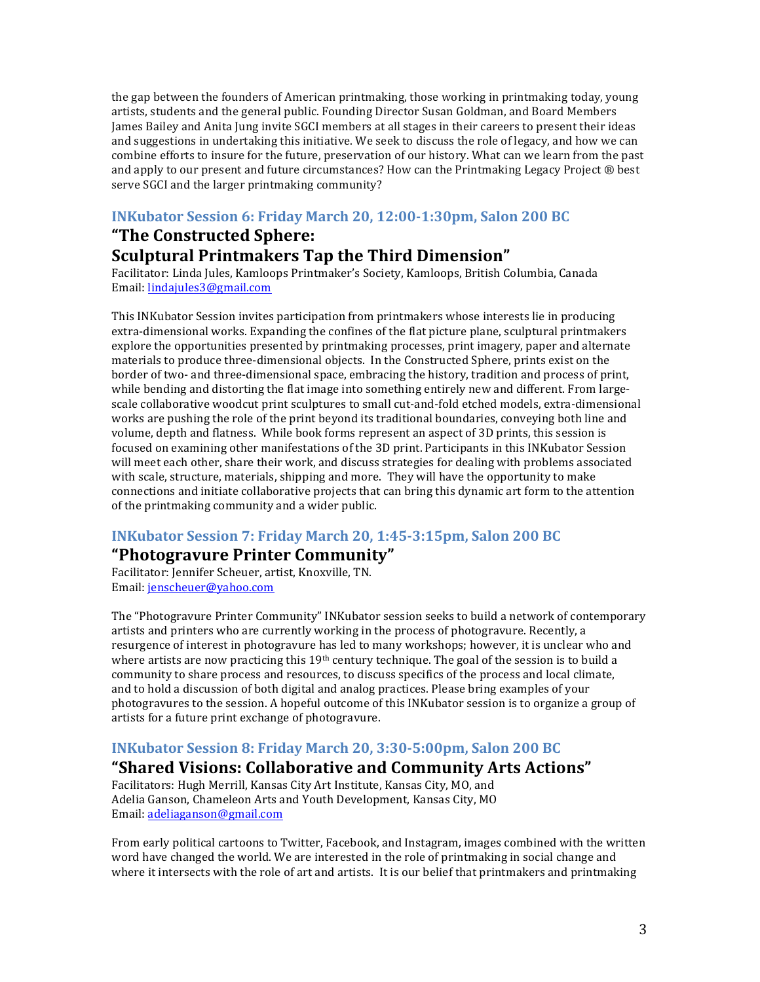the gap between the founders of American printmaking, those working in printmaking today, young artists, students and the general public. Founding Director Susan Goldman, and Board Members James Bailey and Anita Jung invite SGCI members at all stages in their careers to present their ideas and suggestions in undertaking this initiative. We seek to discuss the role of legacy, and how we can combine efforts to insure for the future, preservation of our history. What can we learn from the past and apply to our present and future circumstances? How can the Printmaking Legacy Project  $\circledR$  best serve SGCI and the larger printmaking community?

# **INKubator Session 6: Friday March 20, 12:00-1:30pm, Salon 200 BC**

# "The Constructed Sphere: **Sculptural Printmakers Tap the Third Dimension"**

Facilitator: Linda Jules, Kamloops Printmaker's Society, Kamloops, British Columbia, Canada Email: lindajules3@gmail.com

This INKubator Session invites participation from printmakers whose interests lie in producing extra-dimensional works. Expanding the confines of the flat picture plane, sculptural printmakers explore the opportunities presented by printmaking processes, print imagery, paper and alternate materials to produce three-dimensional objects. In the Constructed Sphere, prints exist on the border of two- and three-dimensional space, embracing the history, tradition and process of print, while bending and distorting the flat image into something entirely new and different. From largescale collaborative woodcut print sculptures to small cut-and-fold etched models, extra-dimensional works are pushing the role of the print beyond its traditional boundaries, conveying both line and volume, depth and flatness. While book forms represent an aspect of 3D prints, this session is focused on examining other manifestations of the 3D print. Participants in this INKubator Session will meet each other, share their work, and discuss strategies for dealing with problems associated with scale, structure, materials, shipping and more. They will have the opportunity to make connections and initiate collaborative projects that can bring this dynamic art form to the attention of the printmaking community and a wider public.

#### **INKubator Session 7: Friday March 20, 1:45-3:15pm, Salon 200 BC**

# **"Photogravure Printer Community"**

Facilitator: Jennifer Scheuer, artist, Knoxville, TN. Email: jenscheuer@yahoo.com

The "Photogravure Printer Community" INKubator session seeks to build a network of contemporary artists and printers who are currently working in the process of photogravure. Recently, a resurgence of interest in photogravure has led to many workshops; however, it is unclear who and where artists are now practicing this  $19<sup>th</sup>$  century technique. The goal of the session is to build a community to share process and resources, to discuss specifics of the process and local climate, and to hold a discussion of both digital and analog practices. Please bring examples of your photogravures to the session. A hopeful outcome of this INKubator session is to organize a group of artists for a future print exchange of photogravure.

#### **INKubator Session 8: Friday March 20, 3:30-5:00pm, Salon 200 BC**

#### **"Shared Visions: Collaborative and Community Arts Actions"**

Facilitators: Hugh Merrill, Kansas City Art Institute, Kansas City, MO, and Adelia Ganson, Chameleon Arts and Youth Development, Kansas City, MO Email: adeliaganson@gmail.com

From early political cartoons to Twitter, Facebook, and Instagram, images combined with the written word have changed the world. We are interested in the role of printmaking in social change and where it intersects with the role of art and artists. It is our belief that printmakers and printmaking